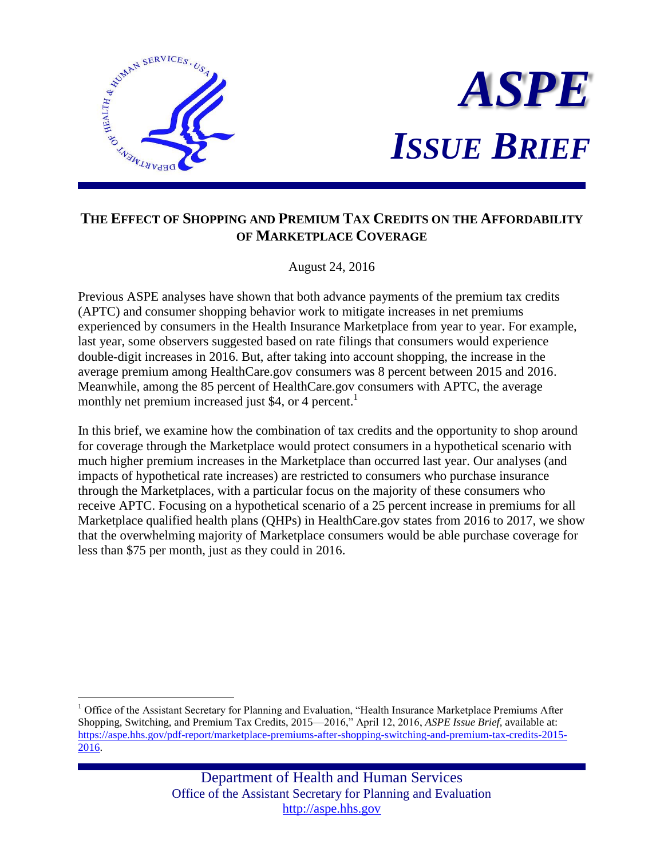

 $\overline{a}$ 



# **THE EFFECT OF SHOPPING AND PREMIUM TAX CREDITS ON THE AFFORDABILITY OF MARKETPLACE COVERAGE**

August 24, 2016

Previous ASPE analyses have shown that both advance payments of the premium tax credits (APTC) and consumer shopping behavior work to mitigate increases in net premiums experienced by consumers in the Health Insurance Marketplace from year to year. For example, last year, some observers suggested based on rate filings that consumers would experience double-digit increases in 2016. But, after taking into account shopping, the increase in the average premium among HealthCare.gov consumers was 8 percent between 2015 and 2016. Meanwhile, among the 85 percent of HealthCare.gov consumers with APTC, the average monthly net premium increased just \$4, or 4 percent.<sup>1</sup>

In this brief, we examine how the combination of tax credits and the opportunity to shop around for coverage through the Marketplace would protect consumers in a hypothetical scenario with much higher premium increases in the Marketplace than occurred last year. Our analyses (and impacts of hypothetical rate increases) are restricted to consumers who purchase insurance through the Marketplaces, with a particular focus on the majority of these consumers who receive APTC. Focusing on a hypothetical scenario of a 25 percent increase in premiums for all Marketplace qualified health plans (QHPs) in HealthCare.gov states from 2016 to 2017, we show that the overwhelming majority of Marketplace consumers would be able purchase coverage for less than \$75 per month, just as they could in 2016.

<sup>&</sup>lt;sup>1</sup> Office of the Assistant Secretary for Planning and Evaluation, "Health Insurance Marketplace Premiums After Shopping, Switching, and Premium Tax Credits, 2015—2016," April 12, 2016, *ASPE Issue Brief,* available at: [https://aspe.hhs.gov/pdf-report/marketplace-premiums-after-shopping-switching-and-premium-tax-credits-2015-](https://aspe.hhs.gov/pdf-report/marketplace-premiums-after-shopping-switching-and-premium-tax-credits-2015-2016) [2016.](https://aspe.hhs.gov/pdf-report/marketplace-premiums-after-shopping-switching-and-premium-tax-credits-2015-2016)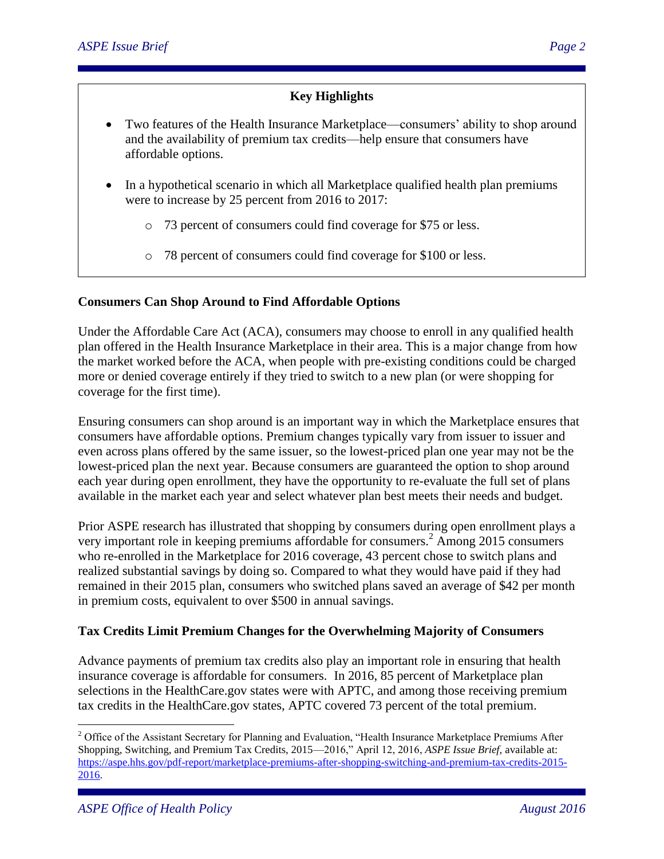## **Key Highlights**

- Two features of the Health Insurance Marketplace—consumers' ability to shop around and the availability of premium tax credits—help ensure that consumers have affordable options.
- In a hypothetical scenario in which all Marketplace qualified health plan premiums were to increase by 25 percent from 2016 to 2017:
	- o 73 percent of consumers could find coverage for \$75 or less.
	- o 78 percent of consumers could find coverage for \$100 or less.

### **Consumers Can Shop Around to Find Affordable Options**

Under the Affordable Care Act (ACA), consumers may choose to enroll in any qualified health plan offered in the Health Insurance Marketplace in their area. This is a major change from how the market worked before the ACA, when people with pre-existing conditions could be charged more or denied coverage entirely if they tried to switch to a new plan (or were shopping for coverage for the first time).

Ensuring consumers can shop around is an important way in which the Marketplace ensures that consumers have affordable options. Premium changes typically vary from issuer to issuer and even across plans offered by the same issuer, so the lowest-priced plan one year may not be the lowest-priced plan the next year. Because consumers are guaranteed the option to shop around each year during open enrollment, they have the opportunity to re-evaluate the full set of plans available in the market each year and select whatever plan best meets their needs and budget.

Prior ASPE research has illustrated that shopping by consumers during open enrollment plays a very important role in keeping premiums affordable for consumers.<sup>2</sup> Among 2015 consumers who re-enrolled in the Marketplace for 2016 coverage, 43 percent chose to switch plans and realized substantial savings by doing so. Compared to what they would have paid if they had remained in their 2015 plan, consumers who switched plans saved an average of \$42 per month in premium costs, equivalent to over \$500 in annual savings.

#### **Tax Credits Limit Premium Changes for the Overwhelming Majority of Consumers**

Advance payments of premium tax credits also play an important role in ensuring that health insurance coverage is affordable for consumers. In 2016, 85 percent of Marketplace plan selections in the HealthCare.gov states were with APTC, and among those receiving premium tax credits in the HealthCare.gov states, APTC covered 73 percent of the total premium.

<sup>&</sup>lt;sup>2</sup> Office of the Assistant Secretary for Planning and Evaluation, "Health Insurance Marketplace Premiums After Shopping, Switching, and Premium Tax Credits, 2015—2016," April 12, 2016, *ASPE Issue Brief,* available at: [https://aspe.hhs.gov/pdf-report/marketplace-premiums-after-shopping-switching-and-premium-tax-credits-2015-](https://aspe.hhs.gov/pdf-report/marketplace-premiums-after-shopping-switching-and-premium-tax-credits-2015-2016) [2016.](https://aspe.hhs.gov/pdf-report/marketplace-premiums-after-shopping-switching-and-premium-tax-credits-2015-2016)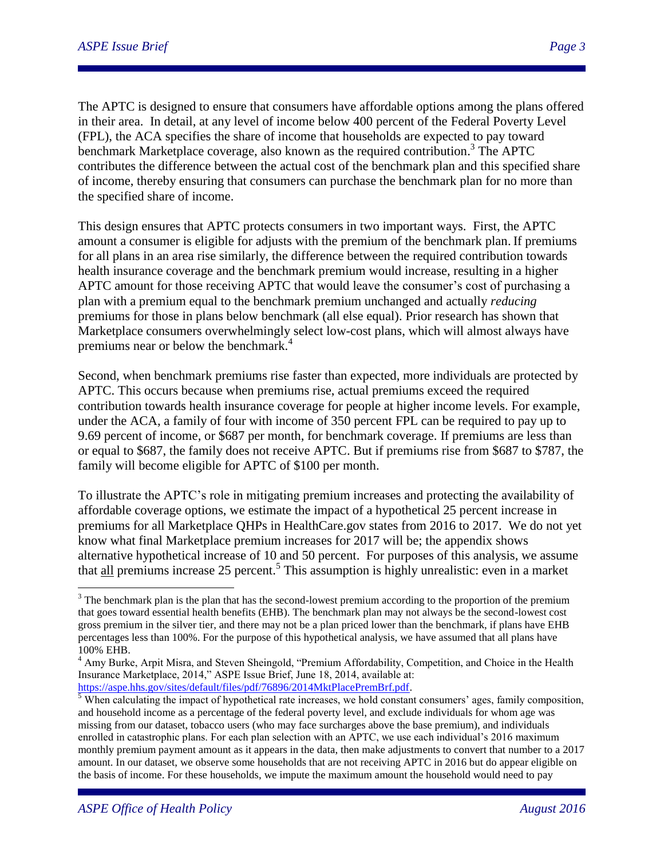The APTC is designed to ensure that consumers have affordable options among the plans offered in their area. In detail, at any level of income below 400 percent of the Federal Poverty Level (FPL), the ACA specifies the share of income that households are expected to pay toward benchmark Marketplace coverage, also known as the required contribution.<sup>3</sup> The APTC contributes the difference between the actual cost of the benchmark plan and this specified share of income, thereby ensuring that consumers can purchase the benchmark plan for no more than the specified share of income.

This design ensures that APTC protects consumers in two important ways. First, the APTC amount a consumer is eligible for adjusts with the premium of the benchmark plan. If premiums for all plans in an area rise similarly, the difference between the required contribution towards health insurance coverage and the benchmark premium would increase, resulting in a higher APTC amount for those receiving APTC that would leave the consumer's cost of purchasing a plan with a premium equal to the benchmark premium unchanged and actually *reducing* premiums for those in plans below benchmark (all else equal). Prior research has shown that Marketplace consumers overwhelmingly select low-cost plans, which will almost always have premiums near or below the benchmark.<sup>4</sup>

Second, when benchmark premiums rise faster than expected, more individuals are protected by APTC. This occurs because when premiums rise, actual premiums exceed the required contribution towards health insurance coverage for people at higher income levels. For example, under the ACA, a family of four with income of 350 percent FPL can be required to pay up to 9.69 percent of income, or \$687 per month, for benchmark coverage. If premiums are less than or equal to \$687, the family does not receive APTC. But if premiums rise from \$687 to \$787, the family will become eligible for APTC of \$100 per month.

To illustrate the APTC's role in mitigating premium increases and protecting the availability of affordable coverage options, we estimate the impact of a hypothetical 25 percent increase in premiums for all Marketplace QHPs in HealthCare.gov states from 2016 to 2017. We do not yet know what final Marketplace premium increases for 2017 will be; the appendix shows alternative hypothetical increase of 10 and 50 percent. For purposes of this analysis, we assume that all premiums increase 25 percent.<sup>5</sup> This assumption is highly unrealistic: even in a market

<sup>&</sup>lt;sup>3</sup> The benchmark plan is the plan that has the second-lowest premium according to the proportion of the premium that goes toward essential health benefits (EHB). The benchmark plan may not always be the second-lowest cost gross premium in the silver tier, and there may not be a plan priced lower than the benchmark, if plans have EHB percentages less than 100%. For the purpose of this hypothetical analysis, we have assumed that all plans have 100% EHB.

<sup>&</sup>lt;sup>4</sup> Amy Burke, Arpit Misra, and Steven Sheingold, "Premium Affordability, Competition, and Choice in the Health Insurance Marketplace, 2014," ASPE Issue Brief, June 18, 2014, available at: [https://aspe.hhs.gov/sites/default/files/pdf/76896/2014MktPlacePremBrf.pdf.](https://aspe.hhs.gov/sites/default/files/pdf/76896/2014MktPlacePremBrf.pdf)

 $\frac{5}{3}$  When calculating the impact of hypothetical rate increases, we hold constant consumers' ages, family composition, and household income as a percentage of the federal poverty level, and exclude individuals for whom age was missing from our dataset, tobacco users (who may face surcharges above the base premium), and individuals enrolled in catastrophic plans. For each plan selection with an APTC, we use each individual's 2016 maximum monthly premium payment amount as it appears in the data, then make adjustments to convert that number to a 2017 amount. In our dataset, we observe some households that are not receiving APTC in 2016 but do appear eligible on the basis of income. For these households, we impute the maximum amount the household would need to pay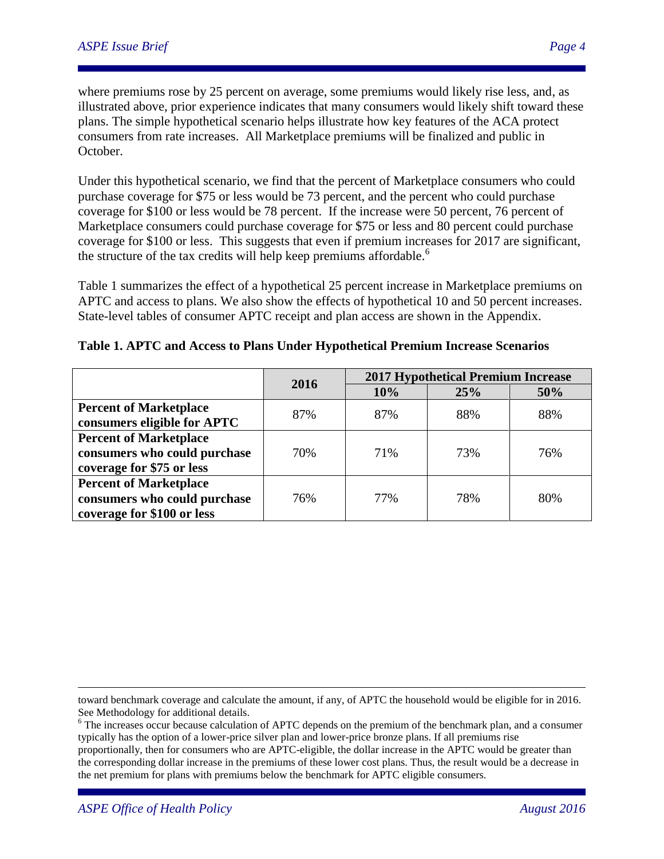where premiums rose by 25 percent on average, some premiums would likely rise less, and, as illustrated above, prior experience indicates that many consumers would likely shift toward these plans. The simple hypothetical scenario helps illustrate how key features of the ACA protect consumers from rate increases. All Marketplace premiums will be finalized and public in October.

Under this hypothetical scenario, we find that the percent of Marketplace consumers who could purchase coverage for \$75 or less would be 73 percent, and the percent who could purchase coverage for \$100 or less would be 78 percent. If the increase were 50 percent, 76 percent of Marketplace consumers could purchase coverage for \$75 or less and 80 percent could purchase coverage for \$100 or less. This suggests that even if premium increases for 2017 are significant, the structure of the tax credits will help keep premiums affordable.<sup>6</sup>

Table 1 summarizes the effect of a hypothetical 25 percent increase in Marketplace premiums on APTC and access to plans. We also show the effects of hypothetical 10 and 50 percent increases. State-level tables of consumer APTC receipt and plan access are shown in the Appendix.

|                               | 2016 | <b>2017 Hypothetical Premium Increase</b> |     |     |
|-------------------------------|------|-------------------------------------------|-----|-----|
|                               |      | 10%                                       | 25% | 50% |
| <b>Percent of Marketplace</b> |      | 87%                                       | 88% | 88% |
| consumers eligible for APTC   | 87%  |                                           |     |     |
| <b>Percent of Marketplace</b> |      |                                           |     |     |
| consumers who could purchase  | 70%  | 71%                                       | 73% | 76% |
| coverage for \$75 or less     |      |                                           |     |     |
| <b>Percent of Marketplace</b> |      |                                           |     |     |
| consumers who could purchase  | 76%  | 77%                                       | 78% | 80% |
| coverage for \$100 or less    |      |                                           |     |     |

**Table 1. APTC and Access to Plans Under Hypothetical Premium Increase Scenarios**

toward benchmark coverage and calculate the amount, if any, of APTC the household would be eligible for in 2016. See Methodology for additional details.

<sup>6</sup> The increases occur because calculation of APTC depends on the premium of the benchmark plan, and a consumer typically has the option of a lower-price silver plan and lower-price bronze plans. If all premiums rise proportionally, then for consumers who are APTC-eligible, the dollar increase in the APTC would be greater than the corresponding dollar increase in the premiums of these lower cost plans. Thus, the result would be a decrease in the net premium for plans with premiums below the benchmark for APTC eligible consumers.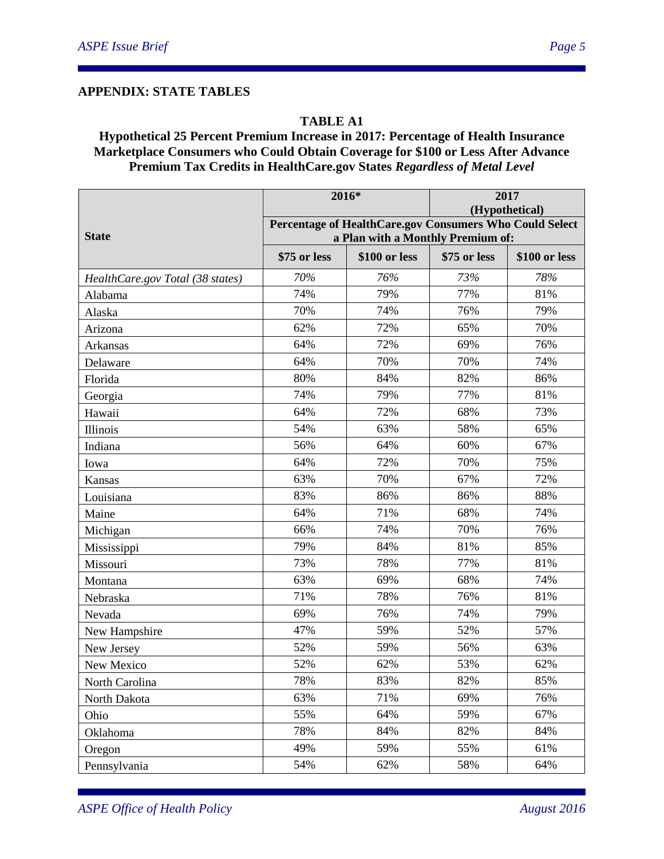#### **APPENDIX: STATE TABLES**

#### **TABLE A1**

### **Hypothetical 25 Percent Premium Increase in 2017: Percentage of Health Insurance Marketplace Consumers who Could Obtain Coverage for \$100 or Less After Advance Premium Tax Credits in HealthCare.gov States** *Regardless of Metal Level*

|                                  | 2016*                                                                                        |               | 2017<br>(Hypothetical) |               |  |
|----------------------------------|----------------------------------------------------------------------------------------------|---------------|------------------------|---------------|--|
| <b>State</b>                     | Percentage of HealthCare.gov Consumers Who Could Select<br>a Plan with a Monthly Premium of: |               |                        |               |  |
|                                  | \$75 or less                                                                                 | \$100 or less | \$75 or less           | \$100 or less |  |
| HealthCare.gov Total (38 states) | 70%                                                                                          | 76%           | 73%                    | 78%           |  |
| Alabama                          | 74%                                                                                          | 79%           | 77%                    | 81%           |  |
| Alaska                           | 70%                                                                                          | 74%           | 76%                    | 79%           |  |
| Arizona                          | 62%                                                                                          | 72%           | 65%                    | 70%           |  |
| Arkansas                         | 64%                                                                                          | 72%           | 69%                    | 76%           |  |
| Delaware                         | 64%                                                                                          | 70%           | 70%                    | 74%           |  |
| Florida                          | 80%                                                                                          | 84%           | 82%                    | 86%           |  |
| Georgia                          | 74%                                                                                          | 79%           | 77%                    | 81%           |  |
| Hawaii                           | 64%                                                                                          | 72%           | 68%                    | 73%           |  |
| Illinois                         | 54%                                                                                          | 63%           | 58%                    | 65%           |  |
| Indiana                          | 56%                                                                                          | 64%           | 60%                    | 67%           |  |
| Iowa                             | 64%                                                                                          | 72%           | 70%                    | 75%           |  |
| Kansas                           | 63%                                                                                          | 70%           | 67%                    | 72%           |  |
| Louisiana                        | 83%                                                                                          | 86%           | 86%                    | 88%           |  |
| Maine                            | 64%                                                                                          | 71%           | 68%                    | 74%           |  |
| Michigan                         | 66%                                                                                          | 74%           | 70%                    | 76%           |  |
| Mississippi                      | 79%                                                                                          | 84%           | 81%                    | 85%           |  |
| Missouri                         | 73%                                                                                          | 78%           | 77%                    | 81%           |  |
| Montana                          | 63%                                                                                          | 69%           | 68%                    | 74%           |  |
| Nebraska                         | 71%                                                                                          | 78%           | 76%                    | 81%           |  |
| Nevada                           | 69%                                                                                          | 76%           | 74%                    | 79%           |  |
| New Hampshire                    | 47%                                                                                          | 59%           | 52%                    | 57%           |  |
| New Jersey                       | 52%                                                                                          | 59%           | 56%                    | 63%           |  |
| New Mexico                       | 52%                                                                                          | 62%           | 53%                    | 62%           |  |
| North Carolina                   | 78%                                                                                          | 83%           | 82%                    | 85%           |  |
| North Dakota                     | 63%                                                                                          | 71%           | 69%                    | 76%           |  |
| Ohio                             | 55%                                                                                          | 64%           | 59%                    | 67%           |  |
| Oklahoma                         | 78%                                                                                          | 84%           | 82%                    | 84%           |  |
| Oregon                           | 49%                                                                                          | 59%           | 55%                    | 61%           |  |
| Pennsylvania                     | 54%                                                                                          | 62%           | 58%                    | 64%           |  |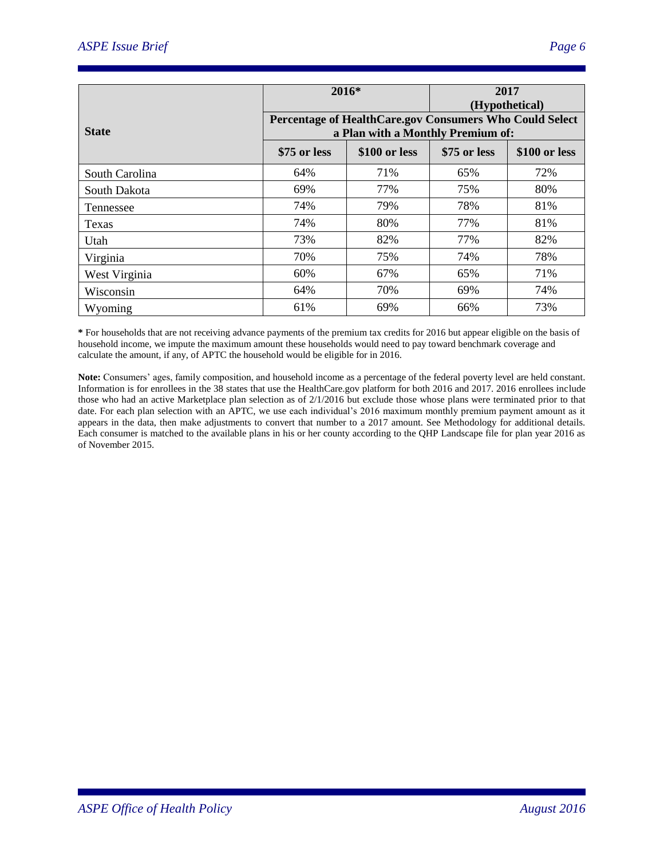| 2016*          |                                                                                              |               | 2017<br>(Hypothetical) |               |
|----------------|----------------------------------------------------------------------------------------------|---------------|------------------------|---------------|
| <b>State</b>   | Percentage of HealthCare.gov Consumers Who Could Select<br>a Plan with a Monthly Premium of: |               |                        |               |
|                | \$75 or less                                                                                 | \$100 or less | \$75 or less           | \$100 or less |
| South Carolina | 64%                                                                                          | 71%           | 65%                    | 72%           |
| South Dakota   | 69%                                                                                          | 77%           | 75%                    | 80%           |
| Tennessee      | 74%                                                                                          | 79%           | 78%                    | 81%           |
| Texas          | 74%                                                                                          | 80%           | 77%                    | 81%           |
| Utah           | 73%                                                                                          | 82%           | 77%                    | 82%           |
| Virginia       | 70%                                                                                          | 75%           | 74%                    | 78%           |
| West Virginia  | 60%                                                                                          | 67%           | 65%                    | 71%           |
| Wisconsin      | 64%                                                                                          | 70%           | 69%                    | 74%           |
| Wyoming        | 61%                                                                                          | 69%           | 66%                    | 73%           |

**\*** For households that are not receiving advance payments of the premium tax credits for 2016 but appear eligible on the basis of household income, we impute the maximum amount these households would need to pay toward benchmark coverage and calculate the amount, if any, of APTC the household would be eligible for in 2016.

**Note:** Consumers' ages, family composition, and household income as a percentage of the federal poverty level are held constant. Information is for enrollees in the 38 states that use the HealthCare.gov platform for both 2016 and 2017. 2016 enrollees include those who had an active Marketplace plan selection as of 2/1/2016 but exclude those whose plans were terminated prior to that date. For each plan selection with an APTC, we use each individual's 2016 maximum monthly premium payment amount as it appears in the data, then make adjustments to convert that number to a 2017 amount. See Methodology for additional details. Each consumer is matched to the available plans in his or her county according to the QHP Landscape file for plan year 2016 as of November 2015.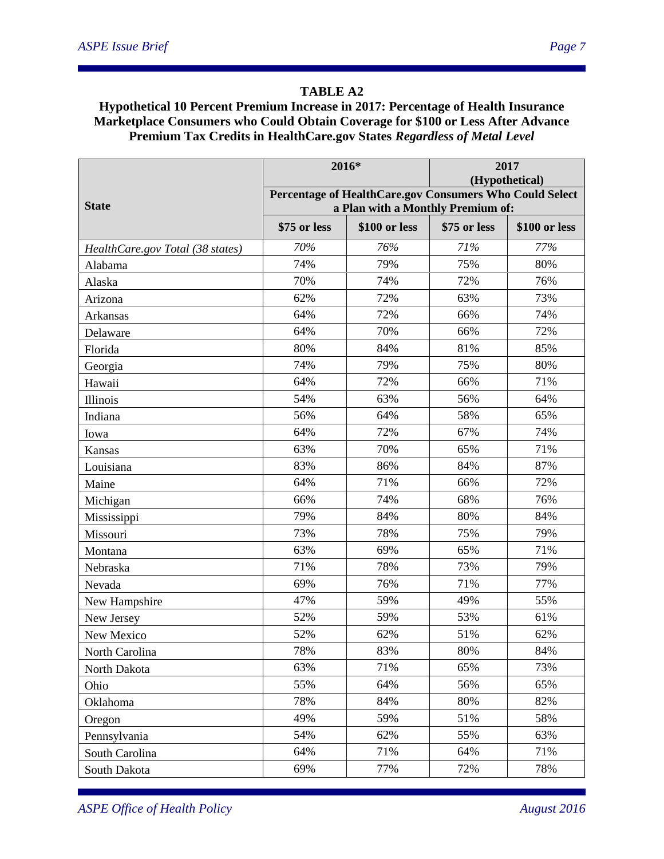# **TABLE A2**

### **Hypothetical 10 Percent Premium Increase in 2017: Percentage of Health Insurance Marketplace Consumers who Could Obtain Coverage for \$100 or Less After Advance Premium Tax Credits in HealthCare.gov States** *Regardless of Metal Level*

|                                  | 2016*                                                                     |               | 2017         |               |  |
|----------------------------------|---------------------------------------------------------------------------|---------------|--------------|---------------|--|
|                                  | (Hypothetical)<br>Percentage of HealthCare.gov Consumers Who Could Select |               |              |               |  |
| <b>State</b>                     | a Plan with a Monthly Premium of:                                         |               |              |               |  |
|                                  | \$75 or less                                                              | \$100 or less | \$75 or less | \$100 or less |  |
| HealthCare.gov Total (38 states) | 70%                                                                       | 76%           | 71%          | 77%           |  |
| Alabama                          | 74%                                                                       | 79%           | 75%          | 80%           |  |
| Alaska                           | 70%                                                                       | 74%           | 72%          | 76%           |  |
| Arizona                          | 62%                                                                       | 72%           | 63%          | 73%           |  |
| Arkansas                         | 64%                                                                       | 72%           | 66%          | 74%           |  |
| Delaware                         | 64%                                                                       | 70%           | 66%          | 72%           |  |
| Florida                          | 80%                                                                       | 84%           | 81%          | 85%           |  |
| Georgia                          | 74%                                                                       | 79%           | 75%          | 80%           |  |
| Hawaii                           | 64%                                                                       | 72%           | 66%          | 71%           |  |
| Illinois                         | 54%                                                                       | 63%           | 56%          | 64%           |  |
| Indiana                          | 56%                                                                       | 64%           | 58%          | 65%           |  |
| Iowa                             | 64%                                                                       | 72%           | 67%          | 74%           |  |
| Kansas                           | 63%                                                                       | 70%           | 65%          | 71%           |  |
| Louisiana                        | 83%                                                                       | 86%           | 84%          | 87%           |  |
| Maine                            | 64%                                                                       | 71%           | 66%          | 72%           |  |
| Michigan                         | 66%                                                                       | 74%           | 68%          | 76%           |  |
| Mississippi                      | 79%                                                                       | 84%           | 80%          | 84%           |  |
| Missouri                         | 73%                                                                       | 78%           | 75%          | 79%           |  |
| Montana                          | 63%                                                                       | 69%           | 65%          | 71%           |  |
| Nebraska                         | 71%                                                                       | 78%           | 73%          | 79%           |  |
| Nevada                           | 69%                                                                       | 76%           | 71%          | 77%           |  |
| New Hampshire                    | 47%                                                                       | 59%           | 49%          | 55%           |  |
| New Jersey                       | 52%                                                                       | 59%           | 53%          | 61%           |  |
| New Mexico                       | 52%                                                                       | 62%           | 51%          | 62%           |  |
| North Carolina                   | 78%                                                                       | 83%           | 80%          | 84%           |  |
| North Dakota                     | 63%                                                                       | 71%           | 65%          | 73%           |  |
| Ohio                             | 55%                                                                       | 64%           | 56%          | 65%           |  |
| Oklahoma                         | 78%                                                                       | 84%           | 80%          | 82%           |  |
| Oregon                           | 49%                                                                       | 59%           | 51%          | 58%           |  |
| Pennsylvania                     | 54%                                                                       | 62%           | 55%          | 63%           |  |
| South Carolina                   | 64%                                                                       | 71%           | 64%          | 71%           |  |
| South Dakota                     | 69%                                                                       | 77%           | 72%          | 78%           |  |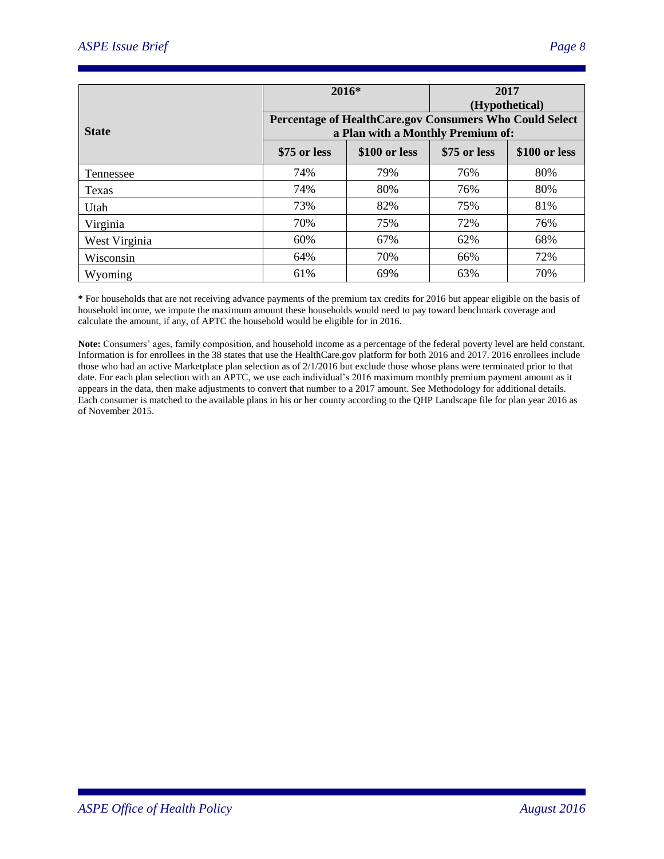|               | $2016*$                                                                                      |               |              | 2017<br>(Hypothetical) |  |
|---------------|----------------------------------------------------------------------------------------------|---------------|--------------|------------------------|--|
| <b>State</b>  | Percentage of HealthCare.gov Consumers Who Could Select<br>a Plan with a Monthly Premium of: |               |              |                        |  |
|               | \$75 or less                                                                                 | \$100 or less | \$75 or less | \$100 or less          |  |
| Tennessee     | 74%                                                                                          | 79%           | 76%          | 80%                    |  |
| <b>Texas</b>  | 74%                                                                                          | 80%           | 76%          | 80%                    |  |
| Utah          | 73%                                                                                          | 82%           | 75%          | 81%                    |  |
| Virginia      | 70%                                                                                          | 75%           | 72%          | 76%                    |  |
| West Virginia | 60%                                                                                          | 67%           | 62%          | 68%                    |  |
| Wisconsin     | 64%                                                                                          | 70%           | 66%          | 72%                    |  |
| Wyoming       | 61%                                                                                          | 69%           | 63%          | 70%                    |  |

**\*** For households that are not receiving advance payments of the premium tax credits for 2016 but appear eligible on the basis of household income, we impute the maximum amount these households would need to pay toward benchmark coverage and calculate the amount, if any, of APTC the household would be eligible for in 2016.

**Note:** Consumers' ages, family composition, and household income as a percentage of the federal poverty level are held constant. Information is for enrollees in the 38 states that use the HealthCare.gov platform for both 2016 and 2017. 2016 enrollees include those who had an active Marketplace plan selection as of 2/1/2016 but exclude those whose plans were terminated prior to that date. For each plan selection with an APTC, we use each individual's 2016 maximum monthly premium payment amount as it appears in the data, then make adjustments to convert that number to a 2017 amount. See Methodology for additional details. Each consumer is matched to the available plans in his or her county according to the QHP Landscape file for plan year 2016 as of November 2015.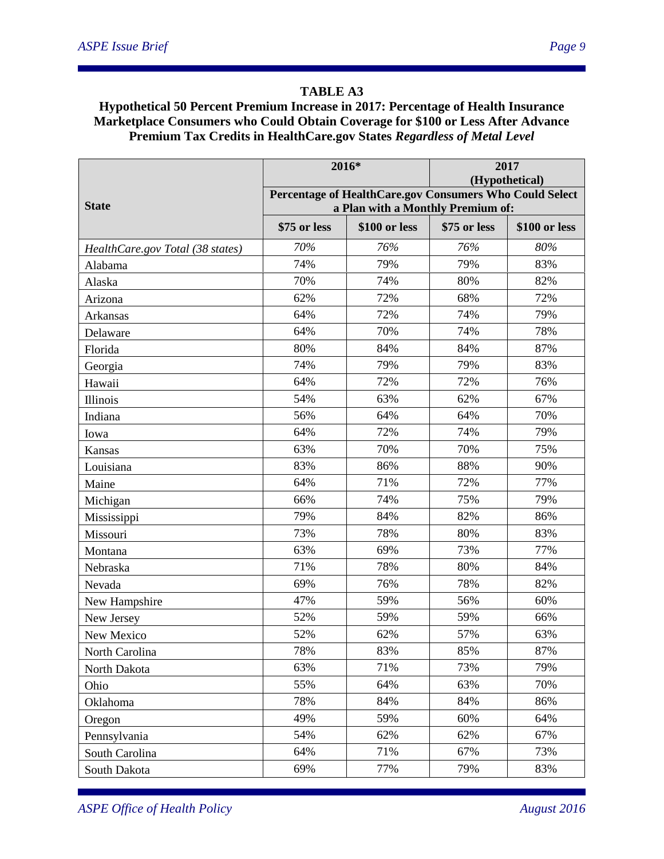# **TABLE A3**

### **Hypothetical 50 Percent Premium Increase in 2017: Percentage of Health Insurance Marketplace Consumers who Could Obtain Coverage for \$100 or Less After Advance Premium Tax Credits in HealthCare.gov States** *Regardless of Metal Level*

|                                  | 2016*                                                                     |               | 2017         |               |  |
|----------------------------------|---------------------------------------------------------------------------|---------------|--------------|---------------|--|
|                                  | (Hypothetical)<br>Percentage of HealthCare.gov Consumers Who Could Select |               |              |               |  |
| <b>State</b>                     | a Plan with a Monthly Premium of:                                         |               |              |               |  |
|                                  | \$75 or less                                                              | \$100 or less | \$75 or less | \$100 or less |  |
| HealthCare.gov Total (38 states) | 70%                                                                       | 76%           | 76%          | 80%           |  |
| Alabama                          | 74%                                                                       | 79%           | 79%          | 83%           |  |
| Alaska                           | 70%                                                                       | 74%           | 80%          | 82%           |  |
| Arizona                          | 62%                                                                       | 72%           | 68%          | 72%           |  |
| Arkansas                         | 64%                                                                       | 72%           | 74%          | 79%           |  |
| Delaware                         | 64%                                                                       | 70%           | 74%          | 78%           |  |
| Florida                          | 80%                                                                       | 84%           | 84%          | 87%           |  |
| Georgia                          | 74%                                                                       | 79%           | 79%          | 83%           |  |
| Hawaii                           | 64%                                                                       | 72%           | 72%          | 76%           |  |
| Illinois                         | 54%                                                                       | 63%           | 62%          | 67%           |  |
| Indiana                          | 56%                                                                       | 64%           | 64%          | 70%           |  |
| Iowa                             | 64%                                                                       | 72%           | 74%          | 79%           |  |
| Kansas                           | 63%                                                                       | 70%           | 70%          | 75%           |  |
| Louisiana                        | 83%                                                                       | 86%           | 88%          | 90%           |  |
| Maine                            | 64%                                                                       | 71%           | 72%          | 77%           |  |
| Michigan                         | 66%                                                                       | 74%           | 75%          | 79%           |  |
| Mississippi                      | 79%                                                                       | 84%           | 82%          | 86%           |  |
| Missouri                         | 73%                                                                       | 78%           | 80%          | 83%           |  |
| Montana                          | 63%                                                                       | 69%           | 73%          | 77%           |  |
| Nebraska                         | 71%                                                                       | 78%           | 80%          | 84%           |  |
| Nevada                           | 69%                                                                       | 76%           | 78%          | 82%           |  |
| New Hampshire                    | 47%                                                                       | 59%           | 56%          | 60%           |  |
| New Jersey                       | 52%                                                                       | 59%           | 59%          | 66%           |  |
| New Mexico                       | 52%                                                                       | 62%           | 57%          | 63%           |  |
| North Carolina                   | 78%                                                                       | 83%           | 85%          | 87%           |  |
| North Dakota                     | 63%                                                                       | 71%           | 73%          | 79%           |  |
| Ohio                             | 55%                                                                       | 64%           | 63%          | 70%           |  |
| Oklahoma                         | 78%                                                                       | 84%           | 84%          | 86%           |  |
| Oregon                           | 49%                                                                       | 59%           | 60%          | 64%           |  |
| Pennsylvania                     | 54%                                                                       | 62%           | 62%          | 67%           |  |
| South Carolina                   | 64%                                                                       | 71%           | 67%          | 73%           |  |
| South Dakota                     | 69%                                                                       | 77%           | 79%          | 83%           |  |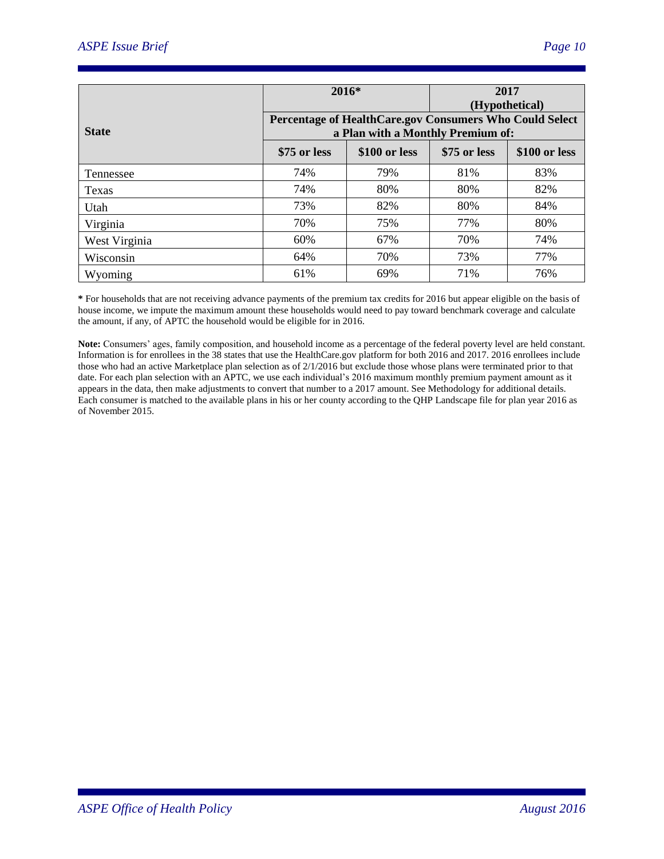| $2016*$       |                                                                                              |               | 2017<br>(Hypothetical) |               |
|---------------|----------------------------------------------------------------------------------------------|---------------|------------------------|---------------|
| <b>State</b>  | Percentage of HealthCare.gov Consumers Who Could Select<br>a Plan with a Monthly Premium of: |               |                        |               |
|               | \$75 or less                                                                                 | \$100 or less | \$75 or less           | \$100 or less |
| Tennessee     | 74%                                                                                          | 79%           | 81%                    | 83%           |
| Texas         | 74%                                                                                          | 80%           | 80%                    | 82%           |
| Utah          | 73%                                                                                          | 82%           | 80%                    | 84%           |
| Virginia      | 70%                                                                                          | 75%           | 77%                    | 80%           |
| West Virginia | 60%                                                                                          | 67%           | 70%                    | 74%           |
| Wisconsin     | 64%                                                                                          | 70%           | 73%                    | 77%           |
| Wyoming       | 61%                                                                                          | 69%           | 71%                    | 76%           |

**\*** For households that are not receiving advance payments of the premium tax credits for 2016 but appear eligible on the basis of house income, we impute the maximum amount these households would need to pay toward benchmark coverage and calculate the amount, if any, of APTC the household would be eligible for in 2016.

**Note:** Consumers' ages, family composition, and household income as a percentage of the federal poverty level are held constant. Information is for enrollees in the 38 states that use the HealthCare.gov platform for both 2016 and 2017. 2016 enrollees include those who had an active Marketplace plan selection as of 2/1/2016 but exclude those whose plans were terminated prior to that date. For each plan selection with an APTC, we use each individual's 2016 maximum monthly premium payment amount as it appears in the data, then make adjustments to convert that number to a 2017 amount. See Methodology for additional details. Each consumer is matched to the available plans in his or her county according to the QHP Landscape file for plan year 2016 as of November 2015.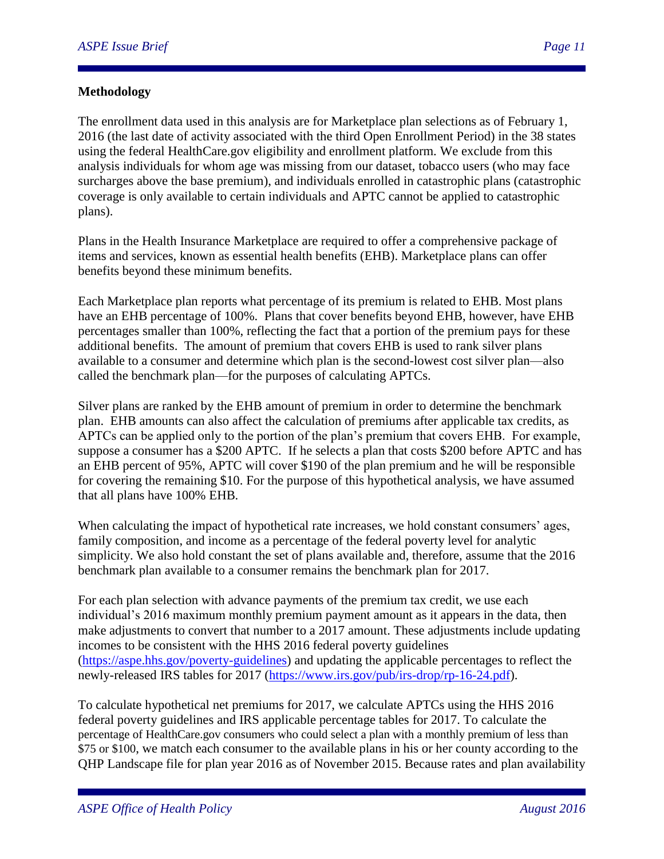#### **Methodology**

The enrollment data used in this analysis are for Marketplace plan selections as of February 1, 2016 (the last date of activity associated with the third Open Enrollment Period) in the 38 states using the federal HealthCare.gov eligibility and enrollment platform. We exclude from this analysis individuals for whom age was missing from our dataset, tobacco users (who may face surcharges above the base premium), and individuals enrolled in catastrophic plans (catastrophic coverage is only available to certain individuals and APTC cannot be applied to catastrophic plans).

Plans in the Health Insurance Marketplace are required to offer a comprehensive package of items and services, known as essential health benefits (EHB). Marketplace plans can offer benefits beyond these minimum benefits.

Each Marketplace plan reports what percentage of its premium is related to EHB. Most plans have an EHB percentage of 100%. Plans that cover benefits beyond EHB, however, have EHB percentages smaller than 100%, reflecting the fact that a portion of the premium pays for these additional benefits. The amount of premium that covers EHB is used to rank silver plans available to a consumer and determine which plan is the second-lowest cost silver plan—also called the benchmark plan—for the purposes of calculating APTCs.

Silver plans are ranked by the EHB amount of premium in order to determine the benchmark plan. EHB amounts can also affect the calculation of premiums after applicable tax credits, as APTCs can be applied only to the portion of the plan's premium that covers EHB. For example, suppose a consumer has a \$200 APTC. If he selects a plan that costs \$200 before APTC and has an EHB percent of 95%, APTC will cover \$190 of the plan premium and he will be responsible for covering the remaining \$10. For the purpose of this hypothetical analysis, we have assumed that all plans have 100% EHB.

When calculating the impact of hypothetical rate increases, we hold constant consumers' ages, family composition, and income as a percentage of the federal poverty level for analytic simplicity. We also hold constant the set of plans available and, therefore, assume that the 2016 benchmark plan available to a consumer remains the benchmark plan for 2017.

For each plan selection with advance payments of the premium tax credit, we use each individual's 2016 maximum monthly premium payment amount as it appears in the data, then make adjustments to convert that number to a 2017 amount. These adjustments include updating incomes to be consistent with the HHS 2016 federal poverty guidelines [\(https://aspe.hhs.gov/poverty-guidelines\)](https://aspe.hhs.gov/poverty-guidelines) and updating the applicable percentages to reflect the newly-released IRS tables for 2017 [\(https://www.irs.gov/pub/irs-drop/rp-16-24.pdf\)](https://www.irs.gov/pub/irs-drop/rp-16-24.pdf).

To calculate hypothetical net premiums for 2017, we calculate APTCs using the HHS 2016 federal poverty guidelines and IRS applicable percentage tables for 2017. To calculate the percentage of HealthCare.gov consumers who could select a plan with a monthly premium of less than \$75 or \$100, we match each consumer to the available plans in his or her county according to the QHP Landscape file for plan year 2016 as of November 2015. Because rates and plan availability